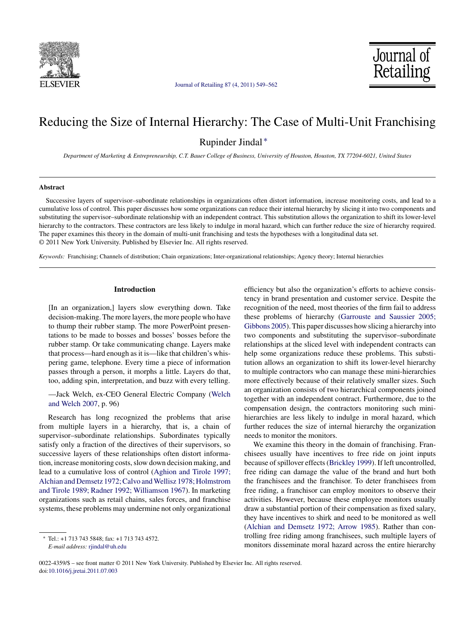



## Reducing the Size of Internal Hierarchy: The Case of Multi-Unit Franchising

Rupinder Jindal ∗

*Department of Marketing & Entrepreneurship, C.T. Bauer College of Business, University of Houston, Houston, TX 77204-6021, United States*

### **Abstract**

Successive layers of supervisor–subordinate relationships in organizations often distort information, increase monitoring costs, and lead to a cumulative loss of control. This paper discusses how some organizations can reduce their internal hierarchy by slicing it into two components and substituting the supervisor–subordinate relationship with an independent contract. This substitution allows the organization to shift its lower-level hierarchy to the contractors. These contractors are less likely to indulge in moral hazard, which can further reduce the size of hierarchy required. The paper examines this theory in the domain of multi-unit franchising and tests the hypotheses with a longitudinal data set. © 2011 New York University. Published by Elsevier Inc. All rights reserved.

*Keywords:* Franchising; Channels of distribution; Chain organizations; Inter-organizational relationships; Agency theory; Internal hierarchies

## **Introduction**

[In an organization,] layers slow everything down. Take decision-making. The more layers, the more people who have to thump their rubber stamp. The more PowerPoint presentations to be made to bosses and bosses' bosses before the rubber stamp. Or take communicating change. Layers make that process—hard enough as it is—like that children's whispering game, telephone. Every time a piece of information passes through a person, it morphs a little. Layers do that, too, adding spin, interpretation, and buzz with every telling.

—Jack Welch, ex-CEO General Electric Company [\(Welch](#page--1-0) [and Welch 2007, p](#page--1-0). 96)

Research has long recognized the problems that arise from multiple layers in a hierarchy, that is, a chain of supervisor–subordinate relationships. Subordinates typically satisfy only a fraction of the directives of their supervisors, so successive layers of these relationships often distort information, increase monitoring costs, slow down decision making, and lead to a cumulative loss of control [\(Aghion and Tirole 1997;](#page--1-0) [Alchian and Demsetz 1972; Calvo and Wellisz 1978; Holmstrom](#page--1-0) [and Tirole 1989; Radner 1992; Williamson 1967\).](#page--1-0) In marketing organizations such as retail chains, sales forces, and franchise systems, these problems may undermine not only organizational

efficiency but also the organization's efforts to achieve consistency in brand presentation and customer service. Despite the recognition of the need, most theories of the firm fail to address these problems of hierarchy [\(Garrouste and Saussier 2005;](#page--1-0) [Gibbons 2005\).](#page--1-0) This paper discusses how slicing a hierarchy into two components and substituting the supervisor–subordinate relationships at the sliced level with independent contracts can help some organizations reduce these problems. This substitution allows an organization to shift its lower-level hierarchy to multiple contractors who can manage these mini-hierarchies more effectively because of their relatively smaller sizes. Such an organization consists of two hierarchical components joined together with an independent contract. Furthermore, due to the compensation design, the contractors monitoring such minihierarchies are less likely to indulge in moral hazard, which further reduces the size of internal hierarchy the organization needs to monitor the monitors.

We examine this theory in the domain of franchising. Franchisees usually have incentives to free ride on joint inputs because of spillover effects ([Brickley 1999\).](#page--1-0) If left uncontrolled, free riding can damage the value of the brand and hurt both the franchisees and the franchisor. To deter franchisees from free riding, a franchisor can employ monitors to observe their activities. However, because these employee monitors usually draw a substantial portion of their compensation as fixed salary, they have incentives to shirk and need to be monitored as well ([Alchian and Demsetz 1972; Arrow 1985\).](#page--1-0) Rather than controlling free riding among franchisees, such multiple layers of monitors disseminate moral hazard across the entire hierarchy

<sup>∗</sup> Tel.: +1 713 743 5848; fax: +1 713 743 4572.

*E-mail address:* [rjindal@uh.edu](mailto:rjindal@uh.edu)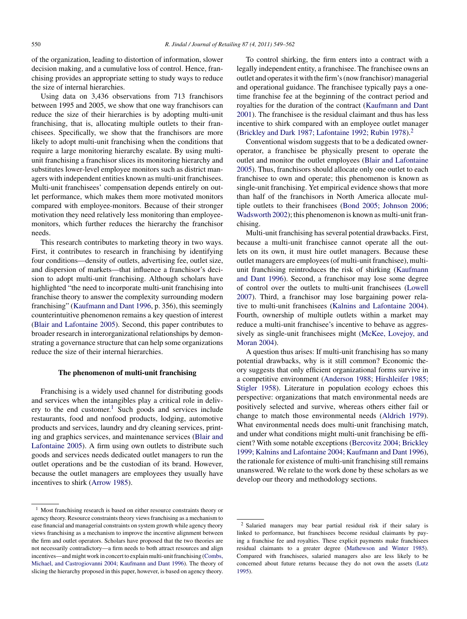of the organization, leading to distortion of information, slower decision making, and a cumulative loss of control. Hence, franchising provides an appropriate setting to study ways to reduce the size of internal hierarchies.

Using data on 3,436 observations from 713 franchisors between 1995 and 2005, we show that one way franchisors can reduce the size of their hierarchies is by adopting multi-unit franchising, that is, allocating multiple outlets to their franchisees. Specifically, we show that the franchisors are more likely to adopt multi-unit franchising when the conditions that require a large monitoring hierarchy escalate. By using multiunit franchising a franchisor slices its monitoring hierarchy and substitutes lower-level employee monitors such as district managers with independent entities known as multi-unit franchisees. Multi-unit franchisees' compensation depends entirely on outlet performance, which makes them more motivated monitors compared with employee-monitors. Because of their stronger motivation they need relatively less monitoring than employeemonitors, which further reduces the hierarchy the franchisor needs.

This research contributes to marketing theory in two ways. First, it contributes to research in franchising by identifying four conditions—density of outlets, advertising fee, outlet size, and dispersion of markets—that influence a franchisor's decision to adopt multi-unit franchising. Although scholars have highlighted "the need to incorporate multi-unit franchising into franchise theory to answer the complexity surrounding modern franchising" [\(Kaufmann and Dant 1996,](#page--1-0) p. 356), this seemingly counterintuitive phenomenon remains a key question of interest [\(Blair and Lafontaine 2005\).](#page--1-0) Second, this paper contributes to broader research in interorganizational relationships by demonstrating a governance structure that can help some organizations reduce the size of their internal hierarchies.

### **The phenomenon of multi-unit franchising**

Franchising is a widely used channel for distributing goods and services when the intangibles play a critical role in delivery to the end customer.<sup>1</sup> Such goods and services include restaurants, food and nonfood products, lodging, automotive products and services, laundry and dry cleaning services, printing and graphics services, and maintenance services ([Blair and](#page--1-0) [Lafontaine 2005\).](#page--1-0) A firm using own outlets to distribute such goods and services needs dedicated outlet managers to run the outlet operations and be the custodian of its brand. However, because the outlet managers are employees they usually have incentives to shirk [\(Arrow 1985\).](#page--1-0)

To control shirking, the firm enters into a contract with a legally independent entity, a franchisee. The franchisee owns an outlet and operates it with the firm's (now franchisor) managerial and operational guidance. The franchisee typically pays a onetime franchise fee at the beginning of the contract period and royalties for the duration of the contract ([Kaufmann and Dant](#page--1-0) [2001\).](#page--1-0) The franchisee is the residual claimant and thus has less incentive to shirk compared with an employee outlet manager [\(Brickley and Dark 1987; Lafontaine 1992; Rubin 1978\).](#page--1-0)<sup>2</sup>

Conventional wisdom suggests that to be a dedicated owneroperator, a franchisee be physically present to operate the outlet and monitor the outlet employees [\(Blair and Lafontaine](#page--1-0) [2005\).](#page--1-0) Thus, franchisors should allocate only one outlet to each franchisee to own and operate; this phenomenon is known as single-unit franchising. Yet empirical evidence shows that more than half of the franchisors in North America allocate multiple outlets to their franchisees ([Bond 2005; Johnson 2006;](#page--1-0) [Wadsworth 2002\);](#page--1-0) this phenomenon is known as multi-unit franchising.

Multi-unit franchising has several potential drawbacks. First, because a multi-unit franchisee cannot operate all the outlets on its own, it must hire outlet managers. Because these outlet managers are employees (of multi-unit franchisee), multiunit franchising reintroduces the risk of shirking ([Kaufmann](#page--1-0) [and Dant 1996\).](#page--1-0) Second, a franchisor may lose some degree of control over the outlets to multi-unit franchisees ([Lowell](#page--1-0) [2007\).](#page--1-0) Third, a franchisor may lose bargaining power relative to multi-unit franchisees [\(Kalnins and Lafontaine 2004\).](#page--1-0) Fourth, ownership of multiple outlets within a market may reduce a multi-unit franchisee's incentive to behave as aggressively as single-unit franchisees might [\(McKee, Lovejoy, and](#page--1-0) [Moran 2004\).](#page--1-0)

A question thus arises: If multi-unit franchising has so many potential drawbacks, why is it still common? Economic theory suggests that only efficient organizational forms survive in a competitive environment ([Anderson 1988; Hirshleifer 1985;](#page--1-0) [Stigler 1958\).](#page--1-0) Literature in population ecology echoes this perspective: organizations that match environmental needs are positively selected and survive, whereas others either fail or change to match those environmental needs [\(Aldrich 1979\).](#page--1-0) What environmental needs does multi-unit franchising match, and under what conditions might multi-unit franchising be efficient? With some notable exceptions ([Bercovitz 2004; Brickley](#page--1-0) [1999; Kalnins and Lafontaine 2004; Kaufmann and Dant 1996\),](#page--1-0) the rationale for existence of multi-unit franchising still remains unanswered. We relate to the work done by these scholars as we develop our theory and methodology sections.

<sup>&</sup>lt;sup>1</sup> Most franchising research is based on either resource constraints theory or agency theory. Resource constraints theory views franchising as a mechanism to ease financial and managerial constraints on system growth while agency theory views franchising as a mechanism to improve the incentive alignment between the firm and outlet operators. Scholars have proposed that the two theories are not necessarily contradictory—a firm needs to both attract resources and align incentives—and might work in concert to explain multi-unit franchising [\(Combs,](#page--1-0) [Michael, and Castrogiovanni 2004; Kaufmann and Dant 1996\).](#page--1-0) The theory of slicing the hierarchy proposed in this paper, however, is based on agency theory.

<sup>2</sup> Salaried managers may bear partial residual risk if their salary is linked to performance, but franchisees become residual claimants by paying a franchise fee and royalties. These explicit payments make franchisees residual claimants to a greater degree ([Mathewson and Winter 1985\).](#page--1-0) Compared with franchisees, salaried managers also are less likely to be concerned about future returns because they do not own the assets [\(Lutz](#page--1-0) [1995\).](#page--1-0)